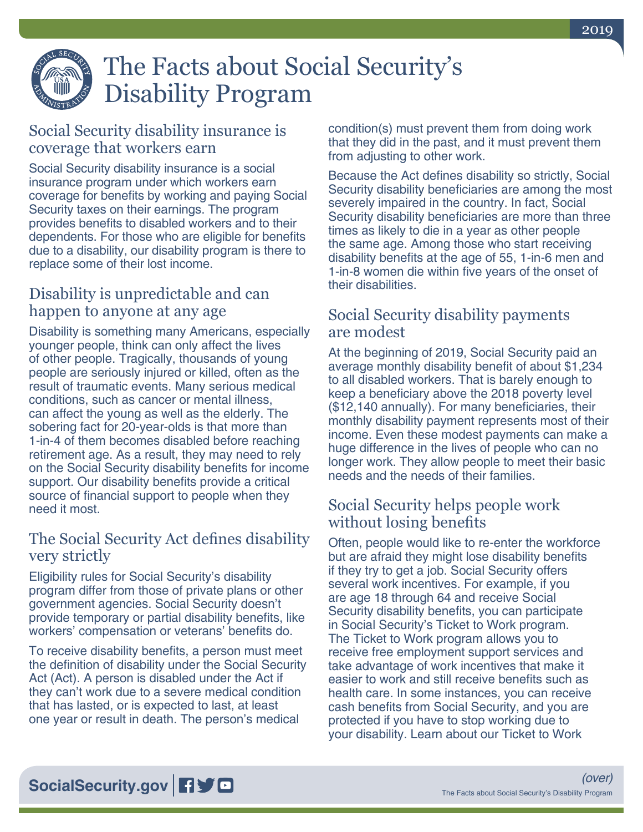

# The Facts about Social Security's Disability Program

# Social Security disability insurance is coverage that workers earn

Social Security disability insurance is a social insurance program under which workers earn coverage for benefits by working and paying Social Security taxes on their earnings. The program provides benefits to disabled workers and to their dependents. For those who are eligible for benefits due to a disability, our disability program is there to replace some of their lost income.

#### Disability is unpredictable and can happen to anyone at any age

Disability is something many Americans, especially younger people, think can only affect the lives of other people. Tragically, thousands of young people are seriously injured or killed, often as the result of traumatic events. Many serious medical conditions, such as cancer or mental illness, can affect the young as well as the elderly. The sobering fact for 20-year-olds is that more than 1-in-4 of them becomes disabled before reaching retirement age. As a result, they may need to rely on the Social Security disability benefits for income support. Our disability benefits provide a critical source of financial support to people when they need it most.

#### The Social Security Act defines disability very strictly

Eligibility rules for Social Security's disability program differ from those of private plans or other government agencies. Social Security doesn't provide temporary or partial disability benefits, like workers' compensation or veterans' benefits do.

To receive disability benefits, a person must meet the definition of disability under the Social Security Act (Act). A person is disabled under the Act if they can't work due to a severe medical condition that has lasted, or is expected to last, at least one year or result in death. The person's medical

condition(s) must prevent them from doing work that they did in the past, and it must prevent them from adjusting to other work.

Because the Act defines disability so strictly, Social Security disability beneficiaries are among the most severely impaired in the country. In fact, Social Security disability beneficiaries are more than three times as likely to die in a year as other people the same age. Among those who start receiving disability benefits at the age of 55, 1-in-6 men and 1-in-8 women die within five years of the onset of their disabilities.

#### Social Security disability payments are modest

At the beginning of 2019, Social Security paid an average monthly disability benefit of about \$1,234 to all disabled workers. That is barely enough to keep a beneficiary above the 2018 poverty level (\$12,140 annually). For many beneficiaries, their monthly disability payment represents most of their income. Even these modest payments can make a huge difference in the lives of people who can no longer work. They allow people to meet their basic needs and the needs of their families.

# Social Security helps people work without losing benefits

Often, people would like to re-enter the workforce but are afraid they might lose disability benefits if they try to get a job. Social Security offers several work incentives. For example, if you are age 18 through 64 and receive Social Security disability benefits, you can participate in Social Security's Ticket to Work program. The Ticket to Work program allows you to receive free employment support services and take advantage of work incentives that make it easier to work and still receive benefits such as health care. In some instances, you can receive cash benefits from Social Security, and you are protected if you have to stop working due to your disability. Learn about our Ticket to Work